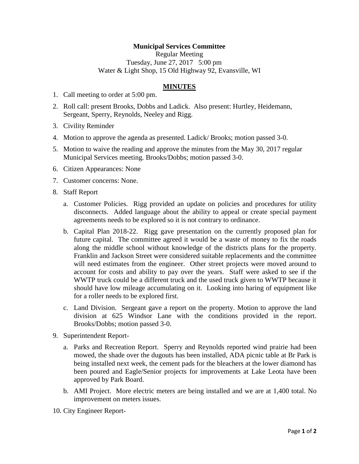## **Municipal Services Committee**

Regular Meeting Tuesday, June 27, 2017 5:00 pm Water & Light Shop, 15 Old Highway 92, Evansville, WI

## **MINUTES**

- 1. Call meeting to order at 5:00 pm.
- 2. Roll call: present Brooks, Dobbs and Ladick. Also present: Hurtley, Heidemann, Sergeant, Sperry, Reynolds, Neeley and Rigg.
- 3. Civility Reminder
- 4. Motion to approve the agenda as presented. Ladick/ Brooks; motion passed 3-0.
- 5. Motion to waive the reading and approve the minutes from the May 30, 2017 regular Municipal Services meeting. Brooks/Dobbs; motion passed 3-0.
- 6. Citizen Appearances: None
- 7. Customer concerns: None.
- 8. Staff Report
	- a. Customer Policies. Rigg provided an update on policies and procedures for utility disconnects. Added language about the ability to appeal or create special payment agreements needs to be explored so it is not contrary to ordinance.
	- b. Capital Plan 2018-22. Rigg gave presentation on the currently proposed plan for future capital. The committee agreed it would be a waste of money to fix the roads along the middle school without knowledge of the districts plans for the property. Franklin and Jackson Street were considered suitable replacements and the committee will need estimates from the engineer. Other street projects were moved around to account for costs and ability to pay over the years. Staff were asked to see if the WWTP truck could be a different truck and the used truck given to WWTP because it should have low mileage accumulating on it. Looking into haring of equipment like for a roller needs to be explored first.
	- c. Land Division. Sergeant gave a report on the property. Motion to approve the land division at 625 Windsor Lane with the conditions provided in the report. Brooks/Dobbs; motion passed 3-0.
- 9. Superintendent Report
	- a. Parks and Recreation Report. Sperry and Reynolds reported wind prairie had been mowed, the shade over the dugouts has been installed, ADA picnic table at Br Park is being installed next week, the cement pads for the bleachers at the lower diamond has been poured and Eagle/Senior projects for improvements at Lake Leota have been approved by Park Board.
	- b. AMI Project. More electric meters are being installed and we are at 1,400 total. No improvement on meters issues.
- 10. City Engineer Report-